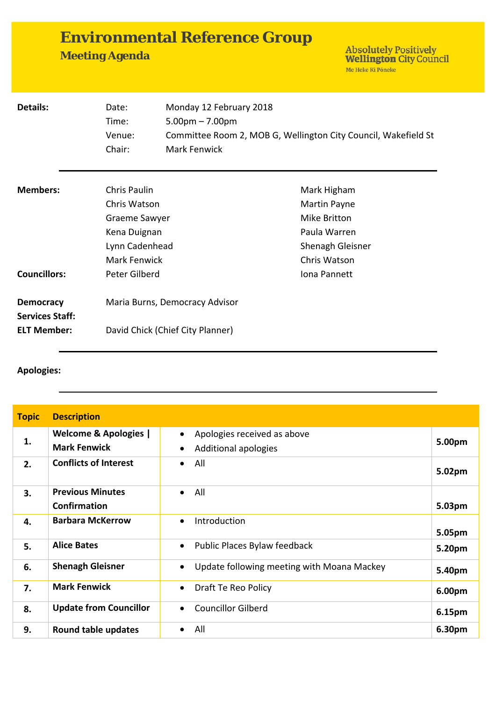|  |   | <b>Environmental Reference Group</b> |  |
|--|---|--------------------------------------|--|
|  | . |                                      |  |

**Meeting Agenda** 

Absolutely Positively<br>Wellington City Council<br>Me Heke Ki Pôneke

| Details:                                   | Date:<br>Time:<br>Venue:<br>Chair:                                                              | Monday 12 February 2018<br>$5.00pm - 7.00pm$<br>Mark Fenwick | Committee Room 2, MOB G, Wellington City Council, Wakefield St                                  |
|--------------------------------------------|-------------------------------------------------------------------------------------------------|--------------------------------------------------------------|-------------------------------------------------------------------------------------------------|
| <b>Members:</b>                            | Chris Paulin<br>Chris Watson<br>Graeme Sawyer<br>Kena Duignan<br>Lynn Cadenhead<br>Mark Fenwick |                                                              | Mark Higham<br>Martin Payne<br>Mike Britton<br>Paula Warren<br>Shenagh Gleisner<br>Chris Watson |
| <b>Councillors:</b>                        | Peter Gilberd                                                                                   |                                                              | Iona Pannett                                                                                    |
| <b>Democracy</b><br><b>Services Staff:</b> | Maria Burns, Democracy Advisor                                                                  |                                                              |                                                                                                 |
| <b>ELT Member:</b>                         |                                                                                                 | David Chick (Chief City Planner)                             |                                                                                                 |

## **Apologies:**

| <b>Topic</b> | <b>Description</b>                                      |                                                                  |        |
|--------------|---------------------------------------------------------|------------------------------------------------------------------|--------|
| 1.           | <b>Welcome &amp; Apologies  </b><br><b>Mark Fenwick</b> | Apologies received as above<br>$\bullet$<br>Additional apologies | 5.00pm |
| 2.           | <b>Conflicts of Interest</b>                            | All<br>$\bullet$                                                 | 5.02pm |
| 3.           | <b>Previous Minutes</b><br><b>Confirmation</b>          | All<br>$\bullet$                                                 | 5.03pm |
| 4.           | <b>Barbara McKerrow</b>                                 | Introduction<br>$\bullet$                                        | 5.05pm |
| 5.           | <b>Alice Bates</b>                                      | Public Places Bylaw feedback<br>$\bullet$                        | 5.20pm |
| 6.           | <b>Shenagh Gleisner</b>                                 | Update following meeting with Moana Mackey                       | 5.40pm |
| 7.           | <b>Mark Fenwick</b>                                     | Draft Te Reo Policy<br>$\bullet$                                 | 6.00pm |
| 8.           | <b>Update from Councillor</b>                           | <b>Councillor Gilberd</b>                                        | 6.15pm |
| 9.           | <b>Round table updates</b>                              | All<br>$\bullet$                                                 | 6.30pm |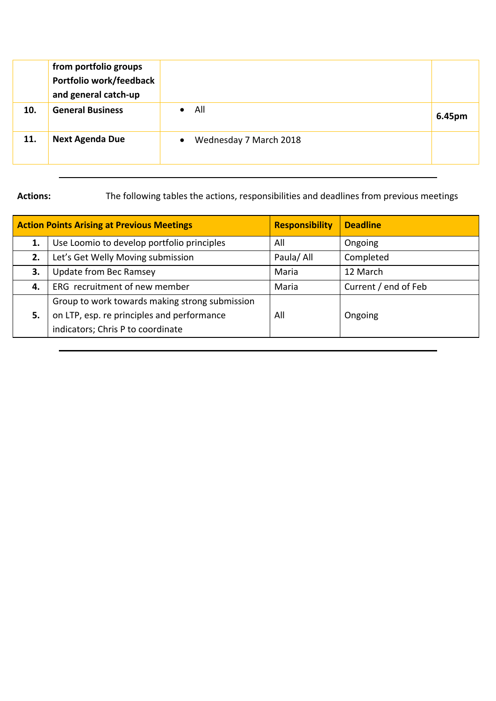|     | from portfolio groups<br>Portfolio work/feedback<br>and general catch-up |                                     |        |
|-----|--------------------------------------------------------------------------|-------------------------------------|--------|
| 10. | <b>General Business</b>                                                  | All<br>$\bullet$                    | 6.45pm |
| 11. | <b>Next Agenda Due</b>                                                   | Wednesday 7 March 2018<br>$\bullet$ |        |

**Actions:** The following tables the actions, responsibilities and deadlines from previous meetings

| <b>Action Points Arising at Previous Meetings</b> |                                                                                              | <b>Responsibility</b> | <b>Deadline</b>      |
|---------------------------------------------------|----------------------------------------------------------------------------------------------|-----------------------|----------------------|
| 1.                                                | Use Loomio to develop portfolio principles                                                   | All                   | Ongoing              |
| 2.                                                | Let's Get Welly Moving submission                                                            | Paula/All             | Completed            |
| 3.                                                | Update from Bec Ramsey                                                                       | Maria                 | 12 March             |
| 4.                                                | ERG recruitment of new member                                                                | Maria                 | Current / end of Feb |
| 5.                                                | Group to work towards making strong submission<br>on LTP, esp. re principles and performance | All                   | Ongoing              |
|                                                   | indicators; Chris P to coordinate                                                            |                       |                      |